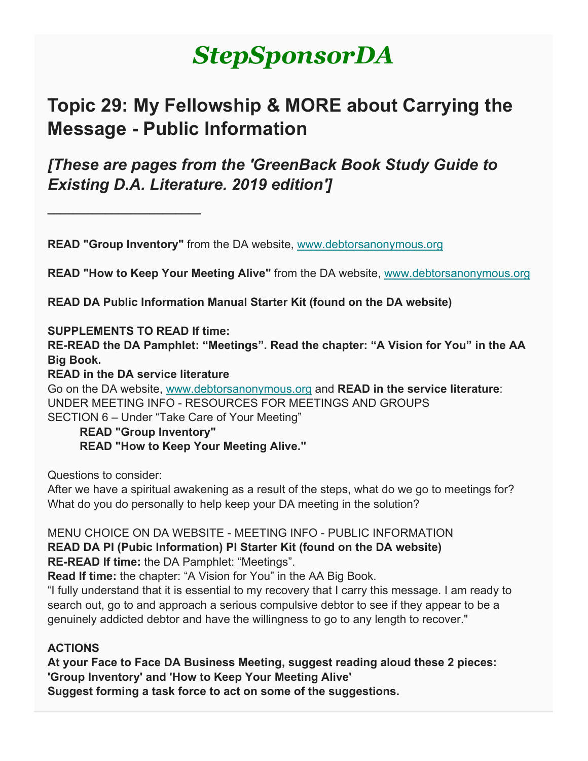# *StepSponsorDA*

# **Topic 29: My Fellowship & MORE about Carrying the Message - Public Information**

*[These are pages from the 'GreenBack Book Study Guide to Existing D.A. Literature. 2019 edition']*

**READ "Group Inventory"** from the DA website, [www.debtorsanonymous.org](http://www.debtorsanonymous.org/)

**READ "How to Keep Your Meeting Alive"** from the DA website, [www.debtorsanonymous.org](http://www.debtorsanonymous.org/)

**READ DA Public Information Manual Starter Kit (found on the DA website)**

**SUPPLEMENTS TO READ If time:**

**\_\_\_\_\_\_\_\_\_\_\_\_\_\_\_\_\_\_\_\_\_\_\_\_**

**RE-READ the DA Pamphlet: "Meetings". Read the chapter: "A Vision for You" in the AA Big Book.**

**READ in the DA service literature**

Go on the DA website, [www.debtorsanonymous.org](http://www.debtorsanonymous.org/) and **READ in the service literature**: UNDER MEETING INFO - RESOURCES FOR MEETINGS AND GROUPS SECTION 6 – Under "Take Care of Your Meeting"

 **READ "Group Inventory" READ "How to Keep Your Meeting Alive."**

Questions to consider:

After we have a spiritual awakening as a result of the steps, what do we go to meetings for? What do you do personally to help keep your DA meeting in the solution?

MENU CHOICE ON DA WEBSITE - MEETING INFO - PUBLIC INFORMATION **READ DA PI (Pubic Information) PI Starter Kit (found on the DA website) RE-READ If time:** the DA Pamphlet: "Meetings".

**Read If time:** the chapter: "A Vision for You" in the AA Big Book.

"I fully understand that it is essential to my recovery that I carry this message. I am ready to search out, go to and approach a serious compulsive debtor to see if they appear to be a genuinely addicted debtor and have the willingness to go to any length to recover."

### **ACTIONS**

**At your Face to Face DA Business Meeting, suggest reading aloud these 2 pieces: 'Group Inventory' and 'How to Keep Your Meeting Alive'**

**Suggest forming a task force to act on some of the suggestions.**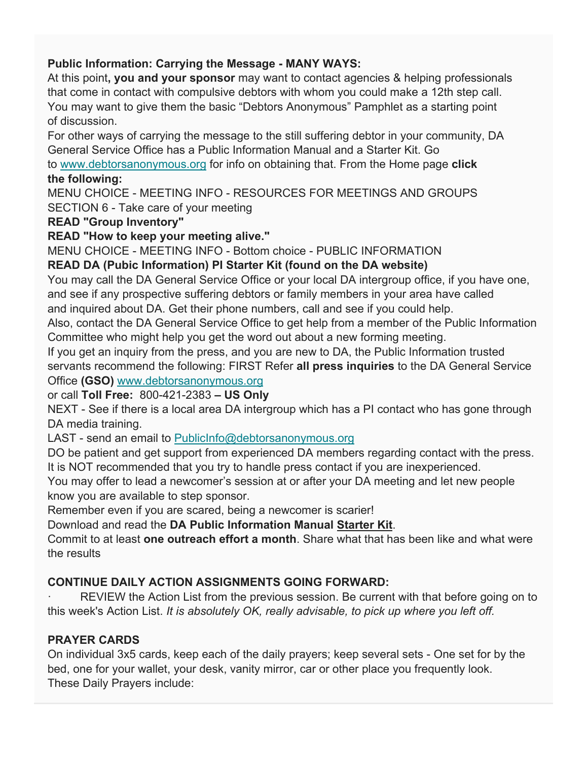### **Public Information: Carrying the Message - MANY WAYS:**

At this point**, you and your sponsor** may want to contact agencies & helping professionals that come in contact with compulsive debtors with whom you could make a 12th step call. You may want to give them the basic "Debtors Anonymous" Pamphlet as a starting point of discussion.

For other ways of carrying the message to the still suffering debtor in your community, DA General Service Office has a Public Information Manual and a Starter Kit. Go to [www.debtorsanonymous.org](http://www.debtorsanonymous.org/) for info on obtaining that. From the Home page **click** 

#### **the following:**

MENU CHOICE - MEETING INFO - RESOURCES FOR MEETINGS AND GROUPS SECTION 6 - Take care of your meeting

### **READ "Group Inventory"**

# **READ "How to keep your meeting alive."**

MENU CHOICE - MEETING INFO - Bottom choice - PUBLIC INFORMATION

# **READ DA (Pubic Information) PI Starter Kit (found on the DA website)**

You may call the DA General Service Office or your local DA intergroup office, if you have one, and see if any prospective suffering debtors or family members in your area have called and inquired about DA. Get their phone numbers, call and see if you could help.

Also, contact the DA General Service Office to get help from a member of the Public Information Committee who might help you get the word out about a new forming meeting.

If you get an inquiry from the press, and you are new to DA, the Public Information trusted servants recommend the following: FIRST Refer **all press inquiries** to the DA General Service Office **(GSO)** [www.debtorsanonymous.org](http://www.debtorsanonymous.org/)

### or call **Toll Free:** 800-421-2383 **– US Only**

NEXT - See if there is a local area DA intergroup which has a PI contact who has gone through DA media training.

LAST - send an email to [PublicInfo@debtorsanonymous.org](mailto:PI@debtorsanonymouc.org)

DO be patient and get support from experienced DA members regarding contact with the press. It is NOT recommended that you try to handle press contact if you are inexperienced.

You may offer to lead a newcomer's session at or after your DA meeting and let new people know you are available to step sponsor.

Remember even if you are scared, being a newcomer is scarier!

Download and read the **DA Public Information Manual Starter Kit**.

Commit to at least **one outreach effort a month**. Share what that has been like and what were the results

# **CONTINUE DAILY ACTION ASSIGNMENTS GOING FORWARD:**

REVIEW the Action List from the previous session. Be current with that before going on to this week's Action List. *It is absolutely OK, really advisable, to pick up where you left off.*

# **PRAYER CARDS**

On individual 3x5 cards, keep each of the daily prayers; keep several sets - One set for by the bed, one for your wallet, your desk, vanity mirror, car or other place you frequently look. These Daily Prayers include: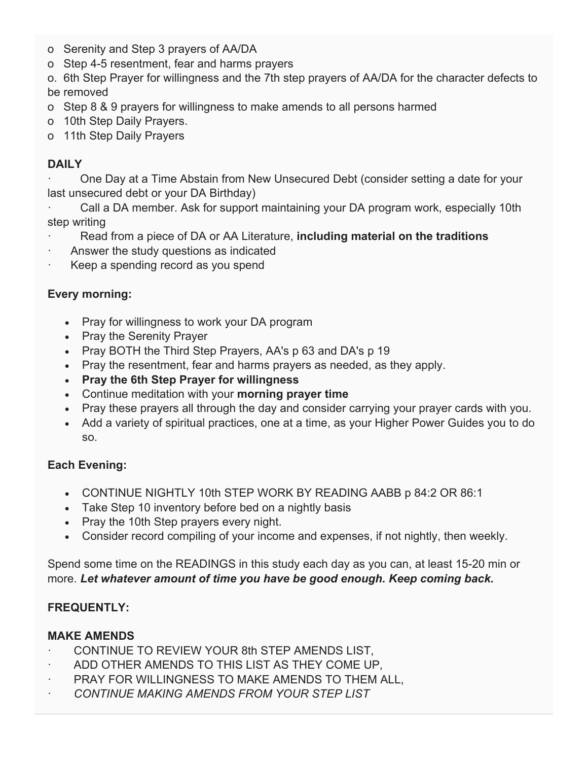- o Serenity and Step 3 prayers of AA/DA
- o Step 4-5 resentment, fear and harms prayers

o. 6th Step Prayer for willingness and the 7th step prayers of AA/DA for the character defects to be removed

- o Step 8 & 9 prayers for willingness to make amends to all persons harmed
- o 10th Step Daily Prayers.
- o 11th Step Daily Prayers

#### **DAILY**

· One Day at a Time Abstain from New Unsecured Debt (consider setting a date for your last unsecured debt or your DA Birthday)

Call a DA member. Ask for support maintaining your DA program work, especially 10th step writing

- · Read from a piece of DA or AA Literature, **including material on the traditions**
- · Answer the study questions as indicated
- Keep a spending record as you spend

#### **Every morning:**

- Pray for willingness to work your DA program
- Pray the Serenity Prayer
- Pray BOTH the Third Step Prayers, AA's p 63 and DA's p 19
- Pray the resentment, fear and harms prayers as needed, as they apply.
- **Pray the 6th Step Prayer for willingness**
- Continue meditation with your **morning prayer time**
- Pray these prayers all through the day and consider carrying your prayer cards with you.
- Add a variety of spiritual practices, one at a time, as your Higher Power Guides you to do so.

#### **Each Evening:**

- CONTINUE NIGHTLY 10th STEP WORK BY READING AABB p 84:2 OR 86:1
- Take Step 10 inventory before bed on a nightly basis
- Pray the 10th Step prayers every night.
- Consider record compiling of your income and expenses, if not nightly, then weekly.

Spend some time on the READINGS in this study each day as you can, at least 15-20 min or more. *Let whatever amount of time you have be good enough. Keep coming back.*

#### **FREQUENTLY:**

#### **MAKE AMENDS**

- CONTINUE TO REVIEW YOUR 8th STEP AMENDS LIST,
- ADD OTHER AMENDS TO THIS LIST AS THEY COME UP.
- PRAY FOR WILLINGNESS TO MAKE AMENDS TO THEM ALL.
- · *CONTINUE MAKING AMENDS FROM YOUR STEP LIST*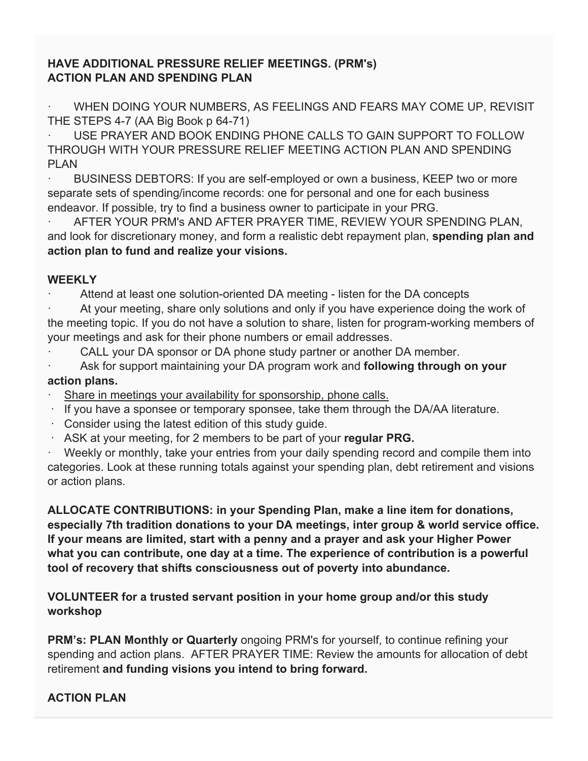#### **HAVE ADDITIONAL PRESSURE RELIEF MEETINGS. (PRM's) ACTION PLAN AND SPENDING PLAN**

WHEN DOING YOUR NUMBERS, AS FEELINGS AND FEARS MAY COME UP, REVISIT THE STEPS 4-7 (AA Big Book p 64-71)

USE PRAYER AND BOOK ENDING PHONE CALLS TO GAIN SUPPORT TO FOLLOW THROUGH WITH YOUR PRESSURE RELIEF MEETING ACTION PLAN AND SPENDING PLAN

· BUSINESS DEBTORS: If you are self-employed or own a business, KEEP two or more separate sets of spending/income records: one for personal and one for each business endeavor. If possible, try to find a business owner to participate in your PRG.

AFTER YOUR PRM'S AND AFTER PRAYER TIME, REVIEW YOUR SPENDING PLAN, and look for discretionary money, and form a realistic debt repayment plan, **spending plan and action plan to fund and realize your visions.**

#### **WEEKLY**

Attend at least one solution-oriented DA meeting - listen for the DA concepts

At your meeting, share only solutions and only if you have experience doing the work of the meeting topic. If you do not have a solution to share, listen for program-working members of your meetings and ask for their phone numbers or email addresses.

- CALL your DA sponsor or DA phone study partner or another DA member.
- Ask for support maintaining your DA program work and **following through on your action plans.**
- Share in meetings your availability for sponsorship, phone calls.
- · If you have a sponsee or temporary sponsee, take them through the DA/AA literature.
- · Consider using the latest edition of this study guide.
- · ASK at your meeting, for 2 members to be part of your **regular PRG.**

Weekly or monthly, take your entries from your daily spending record and compile them into categories. Look at these running totals against your spending plan, debt retirement and visions or action plans.

**ALLOCATE CONTRIBUTIONS: in your Spending Plan, make a line item for donations, especially 7th tradition donations to your DA meetings, inter group & world service office. If your means are limited, start with a penny and a prayer and ask your Higher Power what you can contribute, one day at a time. The experience of contribution is a powerful tool of recovery that shifts consciousness out of poverty into abundance.**

#### **VOLUNTEER for a trusted servant position in your home group and/or this study workshop**

**PRM's: PLAN Monthly or Quarterly** ongoing PRM's for yourself, to continue refining your spending and action plans. AFTER PRAYER TIME: Review the amounts for allocation of debt retirement **and funding visions you intend to bring forward.**

### **ACTION PLAN**